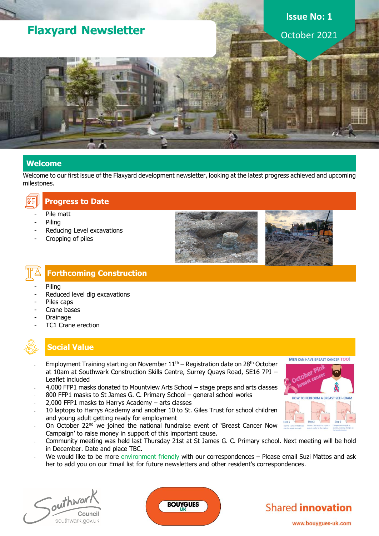## **Flaxyard Newsletter**

# **Issue No: 1**

October 2021

#### **Welcome**

Welcome to our first issue of the Flaxyard development newsletter, looking at the latest progress achieved and upcoming milestones.



#### Pile matt

- **Piling**
- Reducing Level excavations
- Cropping of piles





### **Forthcoming Construction**

- **Piling**
- Reduced level dig excavations
- Piles caps
- Crane bases
- **Drainage**
- TC1 Crane erection

#### **Social Value**

- Employment Training starting on November  $11<sup>th</sup>$  Registration date on 28<sup>th</sup> October at 10am at Southwark Construction Skills Centre, Surrey Quays Road, SE16 7PJ – Leaflet included
- 4,000 FFP1 masks donated to Mountview Arts School stage preps and arts classes
- 800 FFP1 masks to St James G. C. Primary School general school works
- 2,000 FFP1 masks to Harrys Academy  $-$  arts classes
- 10 laptops to Harrys Academy and another 10 to St. Giles Trust for school children and young adult getting ready for employment
- On October 22<sup>nd</sup> we joined the national fundraise event of 'Breast Cancer Now Campaign' to raise money in support of this important cause.
- Community meeting was held last Thursday 21st at St James G. C. Primary school. Next meeting will be hold in December. Date and place TBC.
- We would like to be more environment friendly with our correspondences Please email Suzi Mattos and ask her to add you on our Email list for future newsletters and other resident's correspondences.

Southwar Council southwark.gov.uk





www.bouygues-uk.com